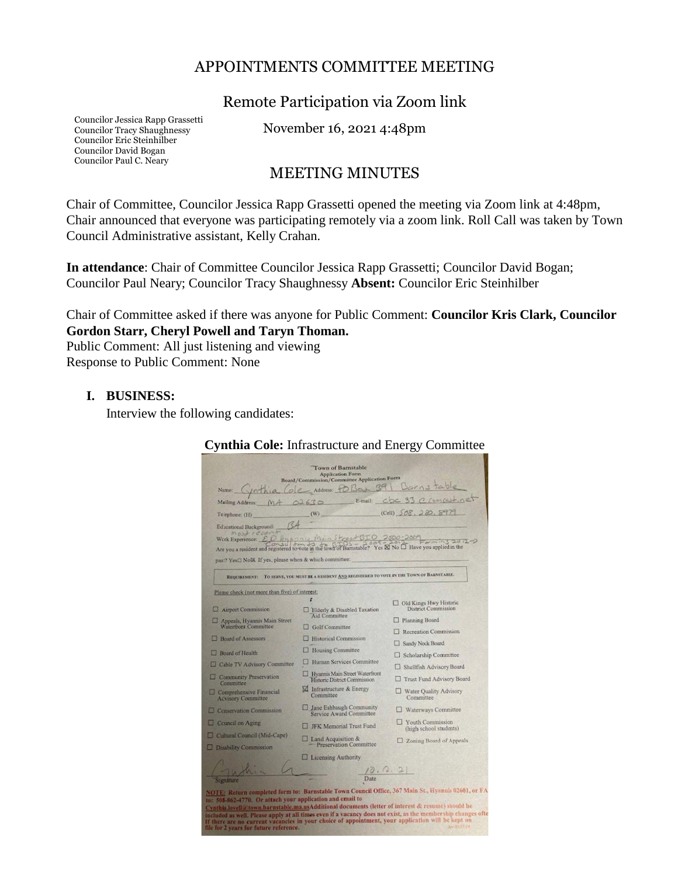### APPOINTMENTS COMMITTEE MEETING

Remote Participation via Zoom link

Councilor Jessica Rapp Grassetti Councilor Tracy Shaughnessy Councilor Eric Steinhilber Councilor David Bogan Councilor Paul C. Neary

November 16, 2021 4:48pm

## MEETING MINUTES

Chair of Committee, Councilor Jessica Rapp Grassetti opened the meeting via Zoom link at 4:48pm, Chair announced that everyone was participating remotely via a zoom link. Roll Call was taken by Town Council Administrative assistant, Kelly Crahan.

**In attendance**: Chair of Committee Councilor Jessica Rapp Grassetti; Councilor David Bogan; Councilor Paul Neary; Councilor Tracy Shaughnessy **Absent:** Councilor Eric Steinhilber

Chair of Committee asked if there was anyone for Public Comment: **Councilor Kris Clark, Councilor Gordon Starr, Cheryl Powell and Taryn Thoman.** 

Public Comment: All just listening and viewing Response to Public Comment: None

#### **I. BUSINESS:**

Interview the following candidates:

|                                                                                                                                                                                                                                                                    | <b>Town of Barnstable</b><br><b>Application Form</b><br>Board/Commission/Committee Application Form                                                         |                                                                                                                                                                                                                 |
|--------------------------------------------------------------------------------------------------------------------------------------------------------------------------------------------------------------------------------------------------------------------|-------------------------------------------------------------------------------------------------------------------------------------------------------------|-----------------------------------------------------------------------------------------------------------------------------------------------------------------------------------------------------------------|
| inthia<br>Name:                                                                                                                                                                                                                                                    | Ole Address POBox 39                                                                                                                                        | Darnstable                                                                                                                                                                                                      |
| Mailing Address: MA 02630 E-mail:                                                                                                                                                                                                                                  |                                                                                                                                                             | cbc 33 0 concest net                                                                                                                                                                                            |
| Telephone: (H)                                                                                                                                                                                                                                                     | (W)                                                                                                                                                         | (Cell) 508, 280, 897                                                                                                                                                                                            |
| Educational Background:                                                                                                                                                                                                                                            |                                                                                                                                                             |                                                                                                                                                                                                                 |
| Most recent<br>past? Yes□ NotX. If yes, please when & which committee:                                                                                                                                                                                             | Work Experience: ED Hyannis Min Street GIO 2000-<br>Are you a resident and registered to vote in the town of Barnstable? Yes & No O Have you applied in the | Forming 2012-2                                                                                                                                                                                                  |
|                                                                                                                                                                                                                                                                    | REQUIREMENT: TO SERVE, YOU MUST BE A RESIDENT AND REGISTERED TO VOTE IN THE TOWN OF BARNSTABLE.                                                             |                                                                                                                                                                                                                 |
| Please check (not more than five) of interest;                                                                                                                                                                                                                     |                                                                                                                                                             |                                                                                                                                                                                                                 |
| Airport Commission                                                                                                                                                                                                                                                 | Elderly & Disabled Taxation                                                                                                                                 | Old Kings Hwy Historic<br>District Commission                                                                                                                                                                   |
| Appeals, Hyannis Main Street                                                                                                                                                                                                                                       | Aid Committee                                                                                                                                               | <b>D</b> Planning Board                                                                                                                                                                                         |
| Waterfront Committee                                                                                                                                                                                                                                               | Golf Committee                                                                                                                                              | Recreation Commission                                                                                                                                                                                           |
| <b>Board of Assessors</b>                                                                                                                                                                                                                                          | <b>Historical Commission</b>                                                                                                                                | Sandy Neck Board                                                                                                                                                                                                |
| <b>Board of Health</b>                                                                                                                                                                                                                                             | <b>Housing Committee</b>                                                                                                                                    | Scholarship Committee                                                                                                                                                                                           |
| Cable TV Advisory Committee                                                                                                                                                                                                                                        | Human Services Committee                                                                                                                                    | Shellfish Advisory Board                                                                                                                                                                                        |
| Community Preservation<br>Committee                                                                                                                                                                                                                                | Hyannis Main Street Waterfront<br>Historic District Commission                                                                                              | Trust Fund Advisory Board                                                                                                                                                                                       |
| Comprehensive Financial<br><b>Advisory Committee</b>                                                                                                                                                                                                               | M Infrastructure & Energy<br>Committee                                                                                                                      | Water Quality Advisory<br>Committee                                                                                                                                                                             |
| Conservation Commission                                                                                                                                                                                                                                            | <b>L</b> Jane Eshbaugh Community<br>Service Award Committee                                                                                                 | Waterways Committee                                                                                                                                                                                             |
| Council on Aging                                                                                                                                                                                                                                                   | FK Memorial Trust Fund                                                                                                                                      | Youth Commission<br>(high school students)                                                                                                                                                                      |
| Cultural Council (Mid-Cape)<br>Disability Commission                                                                                                                                                                                                               | $\Box$ Land Acquisition &<br>- Preservation Committee                                                                                                       | Zoning Board of Appeals                                                                                                                                                                                         |
|                                                                                                                                                                                                                                                                    | <b>Licensing Authority</b>                                                                                                                                  |                                                                                                                                                                                                                 |
| Signature                                                                                                                                                                                                                                                          | (0.0.2)                                                                                                                                                     |                                                                                                                                                                                                                 |
| to: 508-862-4770. Or attach your application and email to<br>Cynthia.lovell@town.harmstable.ma.usAdditional documents (letter of interest & resume) should be<br>If there are no current vacancies in your choice of appointment, your application will be kept on |                                                                                                                                                             | NOTE: Return completed form to: Barnstable Town Council Office, 367 Main St., Hyannis 02601, or F<br>included as well. Please apply at all times even if a vacancy does not exist, as the membership changes of |

**Cynthia Cole:** Infrastructure and Energy Committee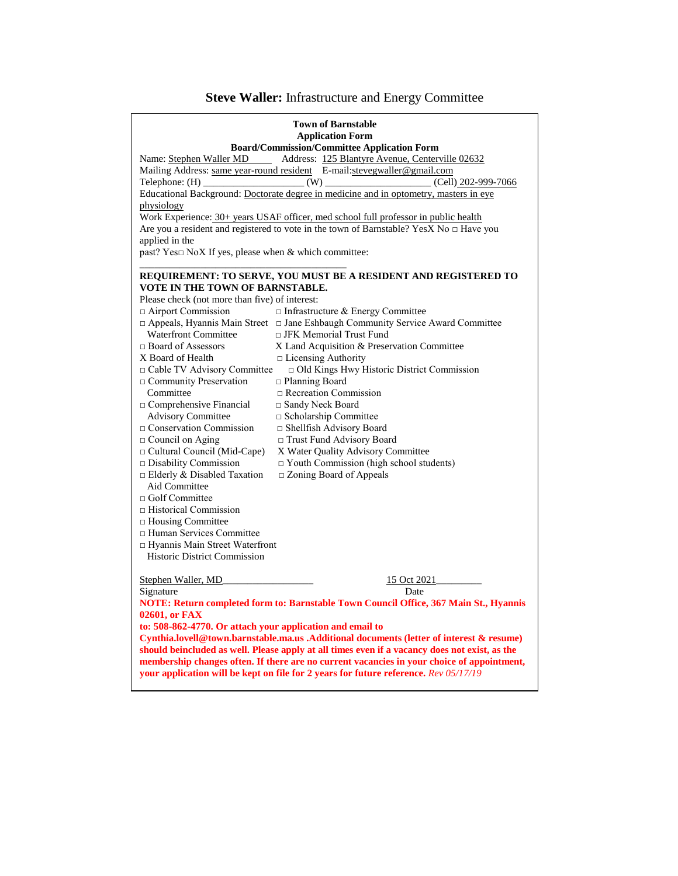# **Steve Waller:** Infrastructure and Energy Committee

| <b>Town of Barnstable</b><br><b>Application Form</b>                                         |                                                                                               |  |  |
|----------------------------------------------------------------------------------------------|-----------------------------------------------------------------------------------------------|--|--|
|                                                                                              | <b>Board/Commission/Committee Application Form</b>                                            |  |  |
| Name: Stephen Waller MD                                                                      | Address: 125 Blantyre Avenue, Centerville 02632                                               |  |  |
|                                                                                              | Mailing Address: same year-round resident E-mail: stevegwaller@gmail.com                      |  |  |
|                                                                                              |                                                                                               |  |  |
|                                                                                              | Educational Background: Doctorate degree in medicine and in optometry, masters in eye         |  |  |
| physiology                                                                                   |                                                                                               |  |  |
|                                                                                              | Work Experience: 30+ years USAF officer, med school full professor in public health           |  |  |
| Are you a resident and registered to vote in the town of Barnstable? YesX No $\Box$ Have you |                                                                                               |  |  |
| applied in the                                                                               |                                                                                               |  |  |
| past? Yes $\square$ NoX If yes, please when & which committee:                               |                                                                                               |  |  |
|                                                                                              |                                                                                               |  |  |
|                                                                                              | REQUIREMENT: TO SERVE, YOU MUST BE A RESIDENT AND REGISTERED TO                               |  |  |
| VOTE IN THE TOWN OF BARNSTABLE.                                                              |                                                                                               |  |  |
| Please check (not more than five) of interest:                                               |                                                                                               |  |  |
| □ Airport Commission                                                                         | $\Box$ Infrastructure & Energy Committee                                                      |  |  |
|                                                                                              | □ Appeals, Hyannis Main Street □ Jane Eshbaugh Community Service Award Committee              |  |  |
| <b>Waterfront Committee</b>                                                                  | □ JFK Memorial Trust Fund                                                                     |  |  |
| $\Box$ Board of Assessors                                                                    | X Land Acquisition & Preservation Committee                                                   |  |  |
| X Board of Health                                                                            | $\Box$ Licensing Authority                                                                    |  |  |
| Cable TV Advisory Committee                                                                  | □ Old Kings Hwy Historic District Commission                                                  |  |  |
| □ Community Preservation                                                                     | $\Box$ Planning Board                                                                         |  |  |
| Committee                                                                                    | Recreation Commission                                                                         |  |  |
| $\Box$ Comprehensive Financial                                                               | □ Sandy Neck Board                                                                            |  |  |
| <b>Advisory Committee</b>                                                                    | □ Scholarship Committee                                                                       |  |  |
| $\Box$ Conservation Commission                                                               | □ Shellfish Advisory Board                                                                    |  |  |
| $\Box$ Council on Aging                                                                      | □ Trust Fund Advisory Board                                                                   |  |  |
| □ Cultural Council (Mid-Cape)                                                                | X Water Quality Advisory Committee                                                            |  |  |
| $\Box$ Disability Commission                                                                 | $\Box$ Youth Commission (high school students)                                                |  |  |
| $\Box$ Elderly & Disabled Taxation                                                           | $\Box$ Zoning Board of Appeals                                                                |  |  |
| Aid Committee                                                                                |                                                                                               |  |  |
| $\Box$ Golf Committee                                                                        |                                                                                               |  |  |
| $\Box$ Historical Commission                                                                 |                                                                                               |  |  |
| □ Housing Committee                                                                          |                                                                                               |  |  |
| □ Human Services Committee                                                                   |                                                                                               |  |  |
| □ Hyannis Main Street Waterfront                                                             |                                                                                               |  |  |
| <b>Historic District Commission</b>                                                          |                                                                                               |  |  |
|                                                                                              |                                                                                               |  |  |
| Stephen Waller, MD                                                                           | 15 Oct 2021                                                                                   |  |  |
| Signature                                                                                    | Date                                                                                          |  |  |
|                                                                                              | NOTE: Return completed form to: Barnstable Town Council Office, 367 Main St., Hyannis         |  |  |
| 02601, or FAX                                                                                |                                                                                               |  |  |
| to: 508-862-4770. Or attach your application and email to                                    |                                                                                               |  |  |
| Cynthia.lovell@town.barnstable.ma.us .Additional documents (letter of interest & resume)     |                                                                                               |  |  |
|                                                                                              | should beincluded as well. Please apply at all times even if a vacancy does not exist, as the |  |  |
|                                                                                              | membership changes often. If there are no current vacancies in your choice of appointment,    |  |  |
|                                                                                              | your application will be kept on file for 2 years for future reference. Rev 05/17/19          |  |  |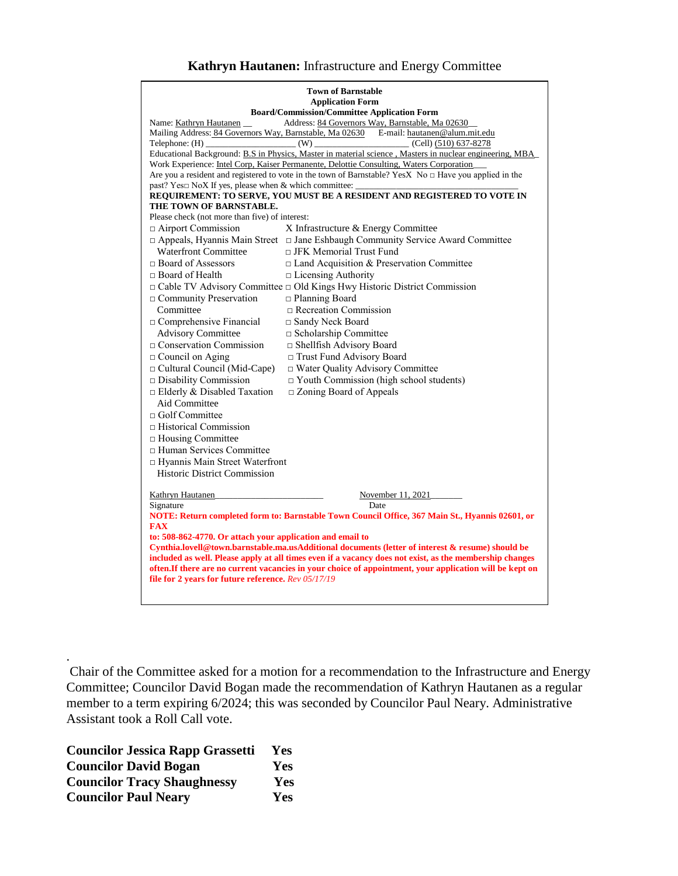#### **Kathryn Hautanen:** Infrastructure and Energy Committee

| <b>Town of Barnstable</b>                                                                                                                                                                                           |                                                                                                         |  |  |  |
|---------------------------------------------------------------------------------------------------------------------------------------------------------------------------------------------------------------------|---------------------------------------------------------------------------------------------------------|--|--|--|
| <b>Application Form</b>                                                                                                                                                                                             |                                                                                                         |  |  |  |
| <b>Board/Commission/Committee Application Form</b><br>Address: 84 Governors Way, Barnstable, Ma 02630<br>Name: Kathryn Hautanen                                                                                     |                                                                                                         |  |  |  |
|                                                                                                                                                                                                                     | Mailing Address: 84 Governors Way, Barnstable, Ma 02630 E-mail: hautanen@alum.mit.edu                   |  |  |  |
| $\text{Telephone: (H)}$ (W)                                                                                                                                                                                         | $\frac{C}{1}$ (Cell) (510) 637-8278                                                                     |  |  |  |
|                                                                                                                                                                                                                     | Educational Background: B.S in Physics, Master in material science, Masters in nuclear engineering, MBA |  |  |  |
|                                                                                                                                                                                                                     | Work Experience: Intel Corp, Kaiser Permanente, Delottie Consulting, Waters Corporation                 |  |  |  |
| Are you a resident and registered to vote in the town of Barnstable? YesX No $\Box$ Have you applied in the<br>past? Yes□ NoX If yes, please when & which committee: _                                              |                                                                                                         |  |  |  |
|                                                                                                                                                                                                                     | REQUIREMENT: TO SERVE, YOU MUST BE A RESIDENT AND REGISTERED TO VOTE IN                                 |  |  |  |
| THE TOWN OF BARNSTABLE.                                                                                                                                                                                             |                                                                                                         |  |  |  |
| Please check (not more than five) of interest:                                                                                                                                                                      |                                                                                                         |  |  |  |
| $\Box$ Airport Commission                                                                                                                                                                                           | X Infrastructure & Energy Committee                                                                     |  |  |  |
|                                                                                                                                                                                                                     | $\Box$ Appeals, Hyannis Main Street $\Box$ Jane Eshbaugh Community Service Award Committee              |  |  |  |
| <b>Waterfront Committee</b>                                                                                                                                                                                         | □ JFK Memorial Trust Fund                                                                               |  |  |  |
| $\Box$ Board of Assessors                                                                                                                                                                                           | $\Box$ Land Acquisition & Preservation Committee                                                        |  |  |  |
| $\Box$ Board of Health                                                                                                                                                                                              | $\Box$ Licensing Authority                                                                              |  |  |  |
| □ Cable TV Advisory Committee □ Old Kings Hwy Historic District Commission                                                                                                                                          |                                                                                                         |  |  |  |
| □ Community Preservation                                                                                                                                                                                            | $\Box$ Planning Board                                                                                   |  |  |  |
| Committee                                                                                                                                                                                                           | Recreation Commission                                                                                   |  |  |  |
| □ Comprehensive Financial                                                                                                                                                                                           | □ Sandy Neck Board                                                                                      |  |  |  |
|                                                                                                                                                                                                                     |                                                                                                         |  |  |  |
| <b>Advisory Committee</b>                                                                                                                                                                                           | □ Scholarship Committee                                                                                 |  |  |  |
| $\Box$ Conservation Commission                                                                                                                                                                                      | □ Shellfish Advisory Board                                                                              |  |  |  |
| $\Box$ Council on Aging                                                                                                                                                                                             | □ Trust Fund Advisory Board                                                                             |  |  |  |
| $\Box$ Cultural Council (Mid-Cape)                                                                                                                                                                                  | $\Box$ Water Quality Advisory Committee                                                                 |  |  |  |
| Disability Commission                                                                                                                                                                                               | $\Box$ Youth Commission (high school students)                                                          |  |  |  |
| $\Box$ Elderly & Disabled Taxation                                                                                                                                                                                  | □ Zoning Board of Appeals                                                                               |  |  |  |
| Aid Committee                                                                                                                                                                                                       |                                                                                                         |  |  |  |
| $\Box$ Golf Committee                                                                                                                                                                                               |                                                                                                         |  |  |  |
| $\Box$ Historical Commission                                                                                                                                                                                        |                                                                                                         |  |  |  |
| □ Housing Committee                                                                                                                                                                                                 |                                                                                                         |  |  |  |
| □ Human Services Committee                                                                                                                                                                                          |                                                                                                         |  |  |  |
| □ Hyannis Main Street Waterfront                                                                                                                                                                                    |                                                                                                         |  |  |  |
| <b>Historic District Commission</b>                                                                                                                                                                                 |                                                                                                         |  |  |  |
| <b>Kathryn Hautanen</b>                                                                                                                                                                                             | November 11, 2021                                                                                       |  |  |  |
| Signature                                                                                                                                                                                                           | Date                                                                                                    |  |  |  |
|                                                                                                                                                                                                                     | NOTE: Return completed form to: Barnstable Town Council Office, 367 Main St., Hyannis 02601, or         |  |  |  |
| <b>FAX</b>                                                                                                                                                                                                          |                                                                                                         |  |  |  |
| to: 508-862-4770. Or attach your application and email to                                                                                                                                                           |                                                                                                         |  |  |  |
| Cynthia.lovell@town.barnstable.ma.usAdditional documents (letter of interest & resume) should be                                                                                                                    |                                                                                                         |  |  |  |
| included as well. Please apply at all times even if a vacancy does not exist, as the membership changes<br>often. If there are no current vacancies in your choice of appointment, your application will be kept on |                                                                                                         |  |  |  |
|                                                                                                                                                                                                                     |                                                                                                         |  |  |  |
| file for 2 years for future reference. Rev 05/17/19                                                                                                                                                                 |                                                                                                         |  |  |  |
|                                                                                                                                                                                                                     |                                                                                                         |  |  |  |

Chair of the Committee asked for a motion for a recommendation to the Infrastructure and Energy Committee; Councilor David Bogan made the recommendation of Kathryn Hautanen as a regular member to a term expiring 6/2024; this was seconded by Councilor Paul Neary. Administrative Assistant took a Roll Call vote.

**Councilor Jessica Rapp Grassetti Yes Councilor David Bogan Yes Councilor Tracy Shaughnessy Yes Councilor Paul Neary Yes**

.